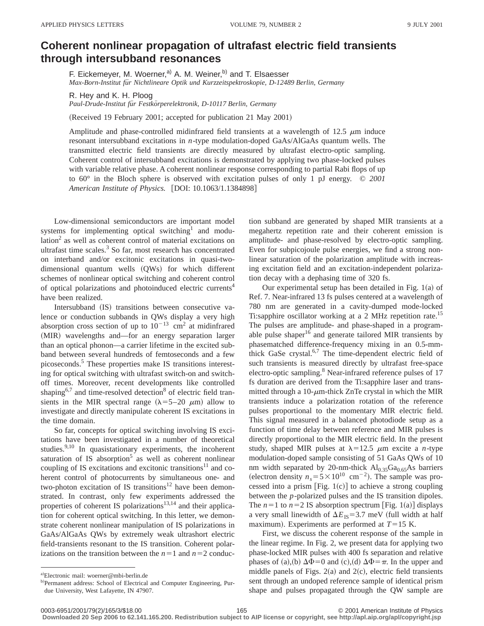## **Coherent nonlinear propagation of ultrafast electric field transients through intersubband resonances**

F. Eickemeyer, M. Woerner,<sup>a)</sup> A. M. Weiner,<sup>b)</sup> and T. Elsaesser *Max-Born-Institut fu¨r Nichtlineare Optik und Kurzzeitspektroskopie, D-12489 Berlin, Germany*

R. Hey and K. H. Ploog

*Paul-Drude-Institut fu¨r Festko¨rperelektronik, D-10117 Berlin, Germany*

(Received 19 February 2001; accepted for publication 21 May 2001)

Amplitude and phase-controlled midinfrared field transients at a wavelength of 12.5  $\mu$ m induce resonant intersubband excitations in *n*-type modulation-doped GaAs/AlGaAs quantum wells. The transmitted electric field transients are directly measured by ultrafast electro-optic sampling. Coherent control of intersubband excitations is demonstrated by applying two phase-locked pulses with variable relative phase. A coherent nonlinear response corresponding to partial Rabi flops of up to 60° in the Bloch sphere is observed with excitation pulses of only 1 pJ energy. © *2001 American Institute of Physics.* [DOI: 10.1063/1.1384898]

Low-dimensional semiconductors are important model systems for implementing optical switching<sup>1</sup> and modulation $2$  as well as coherent control of material excitations on ultrafast time scales. $3$  So far, most research has concentrated on interband and/or excitonic excitations in quasi-twodimensional quantum wells  $(QWs)$  for which different schemes of nonlinear optical switching and coherent control of optical polarizations and photoinduced electric currents<sup>4</sup> have been realized.

Intersubband (IS) transitions between consecutive valence or conduction subbands in QWs display a very high absorption cross section of up to  $10^{-13}$  cm<sup>2</sup> at midinfrared (MIR) wavelengths and—for an energy separation larger than an optical phonon—a carrier lifetime in the excited subband between several hundreds of femtoseconds and a few picoseconds.5 These properties make IS transitions interesting for optical switching with ultrafast switch-on and switchoff times. Moreover, recent developments like controlled shaping $6.7$  and time-resolved detection<sup>8</sup> of electric field transients in the MIR spectral range  $(\lambda = 5-20 \mu m)$  allow to investigate and directly manipulate coherent IS excitations in the time domain.

So far, concepts for optical switching involving IS excitations have been investigated in a number of theoretical studies.<sup>9,10</sup> In quasistationary experiments, the incoherent saturation of IS absorption<sup>5</sup> as well as coherent nonlinear coupling of IS excitations and excitonic transitions<sup>11</sup> and coherent control of photocurrents by simultaneous one- and two-photon excitation of IS transitions<sup>12</sup> have been demonstrated. In contrast, only few experiments addressed the properties of coherent IS polarizations<sup>13,14</sup> and their application for coherent optical switching. In this letter, we demonstrate coherent nonlinear manipulation of IS polarizations in GaAs/AlGaAs QWs by extremely weak ultrashort electric field-transients resonant to the IS transition. Coherent polarizations on the transition between the  $n=1$  and  $n=2$  conduction subband are generated by shaped MIR transients at a megahertz repetition rate and their coherent emission is amplitude- and phase-resolved by electro-optic sampling. Even for subpicojoule pulse energies, we find a strong nonlinear saturation of the polarization amplitude with increasing excitation field and an excitation-independent polarization decay with a dephasing time of 320 fs.

Our experimental setup has been detailed in Fig.  $1(a)$  of Ref. 7. Near-infrared 13 fs pulses centered at a wavelength of 780 nm are generated in a cavity-dumped mode-locked Ti:sapphire oscillator working at a 2 MHz repetition rate.<sup>15</sup> The pulses are amplitude- and phase-shaped in a programable pulse shaper $16$  and generate tailored MIR transients by phasematched difference-frequency mixing in an 0.5-mmthick GaSe crystal.<sup>6,7</sup> The time-dependent electric field of such transients is measured directly by ultrafast free-space electro-optic sampling.<sup>8</sup> Near-infrared reference pulses of 17 fs duration are derived from the Ti:sapphire laser and transmitted through a 10- $\mu$ m-thick ZnTe crystal in which the MIR transients induce a polarization rotation of the reference pulses proportional to the momentary MIR electric field. This signal measured in a balanced photodiode setup as a function of time delay between reference and MIR pulses is directly proportional to the MIR electric field. In the present study, shaped MIR pulses at  $\lambda=12.5$   $\mu$ m excite a *n*-type modulation-doped sample consisting of 51 GaAs QWs of 10 nm width separated by 20-nm-thick  $Al_{0.35}Ga_{0.65}As$  barriers (electron density  $n_s = 5 \times 10^{10}$  cm<sup>-2</sup>). The sample was processed into a prism [Fig.  $1(c)$ ] to achieve a strong coupling between the *p*-polarized pulses and the IS transition dipoles. The  $n=1$  to  $n=2$  IS absorption spectrum [Fig. 1(a)] displays a very small linewidth of  $\Delta E_{IS} = 3.7$  meV (full width at half maximum). Experiments are performed at  $T=15$  K.

First, we discuss the coherent response of the sample in the linear regime. In Fig. 2, we present data for applying two phase-locked MIR pulses with 400 fs separation and relative phases of (a),(b)  $\Delta \Phi = 0$  and (c),(d)  $\Delta \Phi = \pi$ . In the upper and middle panels of Figs.  $2(a)$  and  $2(c)$ , electric field transients sent through an undoped reference sample of identical prism shape and pulses propagated through the QW sample are

0003-6951/2001/79(2)/165/3/\$18.00 © 2001 American Institute of Physics 165 **Downloaded 20 Sep 2006 to 62.141.165.200. Redistribution subject to AIP license or copyright, see http://apl.aip.org/apl/copyright.jsp**

a)Electronic mail: woerner@mbi-berlin.de

b)Permanent address: School of Electrical and Computer Engineering, Purdue University, West Lafayette, IN 47907.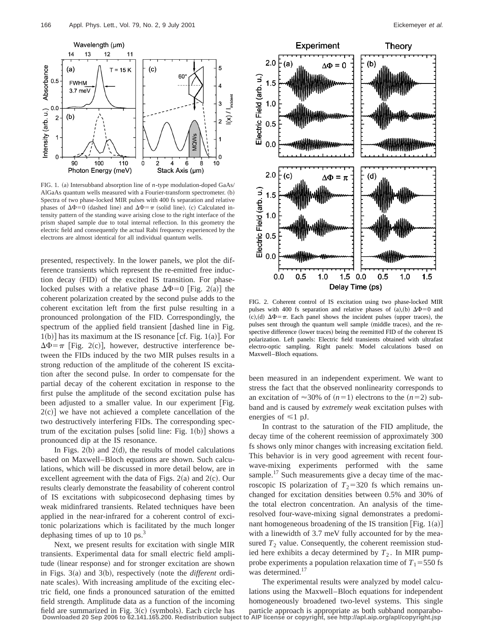

FIG. 1. (a) Intersubband absorption line of *n*-type modulation-doped GaAs/ AlGaAs quantum wells measured with a Fourier-transform spectrometer.  $(b)$ Spectra of two phase-locked MIR pulses with 400 fs separation and relative phases of  $\Delta \Phi$ =0 (dashed line) and  $\Delta \Phi$ = $\pi$  (solid line). (c) Calculated intensity pattern of the standing wave arising close to the right interface of the prism shaped sample due to total internal reflection. In this geometry the electric field and consequently the actual Rabi frequency experienced by the electrons are almost identical for all individual quantum wells.

presented, respectively. In the lower panels, we plot the difference transients which represent the re-emitted free induction decay (FID) of the excited IS transition. For phaselocked pulses with a relative phase  $\Delta \Phi = 0$  [Fig. 2(a)] the coherent polarization created by the second pulse adds to the coherent excitation left from the first pulse resulting in a pronounced prolongation of the FID. Correspondingly, the spectrum of the applied field transient  $\lceil$  dashed line in Fig.  $1(b)$ ] has its maximum at the IS resonance [cf. Fig. 1(a)]. For  $\Delta \Phi = \pi$  [Fig. 2(c)], however, destructive interference between the FIDs induced by the two MIR pulses results in a strong reduction of the amplitude of the coherent IS excitation after the second pulse. In order to compensate for the partial decay of the coherent excitation in response to the first pulse the amplitude of the second excitation pulse has been adjusted to a smaller value. In our experiment [Fig.  $2(c)$ ] we have not achieved a complete cancellation of the two destructively interfering FIDs. The corresponding spectrum of the excitation pulses [solid line: Fig. 1(b)] shows a pronounced dip at the IS resonance.

In Figs.  $2(b)$  and  $2(d)$ , the results of model calculations based on Maxwell–Bloch equations are shown. Such calculations, which will be discussed in more detail below, are in excellent agreement with the data of Figs.  $2(a)$  and  $2(c)$ . Our results clearly demonstrate the feasability of coherent control of IS excitations with subpicosecond dephasing times by weak midinfrared transients. Related techniques have been applied in the near-infrared for a coherent control of excitonic polarizations which is facilitated by the much longer dephasing times of up to 10 ps. $3$ 

Next, we present results for excitation with single MIR transients. Experimental data for small electric field amplitude (linear response) and for stronger excitation are shown in Figs. 3(a) and 3(b), respectively (note the *different* ordinate scales). With increasing amplitude of the exciting electric field, one finds a pronounced saturation of the emitted field strength. Amplitude data as a function of the incoming field are summarized in Fig.  $3(c)$  (symbols). Each circle has **Downloaded 20 Sep 2006 to 62.141.165.200. Redistribution subject to AIP license or copyright, see http://apl.aip.org/apl/copyright.jsp**



FIG. 2. Coherent control of IS excitation using two phase-locked MIR pulses with 400 fs separation and relative phases of  $(a),(b)$   $\Delta \Phi=0$  and (c),(d)  $\Delta \Phi = \pi$ . Each panel shows the incident pulses (upper traces), the pulses sent through the quantum well sample (middle traces), and the respective difference (lower traces) being the reemitted FID of the coherent IS polarization. Left panels: Electric field transients obtained with ultrafast electro-optic sampling. Right panels: Model calculations based on Maxwell–Bloch equations.

been measured in an independent experiment. We want to stress the fact that the observed nonlinearity corresponds to an excitation of  $\approx$ 30% of  $(n=1)$  electrons to the  $(n=2)$  subband and is caused by *extremely weak* excitation pulses with energies of  $\leq 1$  pJ.

In contrast to the saturation of the FID amplitude, the decay time of the coherent reemission of approximately 300 fs shows only minor changes with increasing excitation field. This behavior is in very good agreement with recent fourwave-mixing experiments performed with the same sample. $17$  Such measurements give a decay time of the macroscopic IS polarization of  $T_2$ =320 fs which remains unchanged for excitation densities between 0.5% and 30% of the total electron concentration. An analysis of the timeresolved four-wave-mixing signal demonstrates a predominant homogeneous broadening of the IS transition [Fig.  $1(a)$ ] with a linewidth of 3.7 meV fully accounted for by the measured  $T_2$  value. Consequently, the coherent reemission studied here exhibits a decay determined by  $T_2$ . In MIR pumpprobe experiments a population relaxation time of  $T_1 = 550$  fs was determined.<sup>17</sup>

The experimental results were analyzed by model calculations using the Maxwell–Bloch equations for independent homogeneously broadened two-level systems. This single particle approach is appropriate as both subband nonparabo-